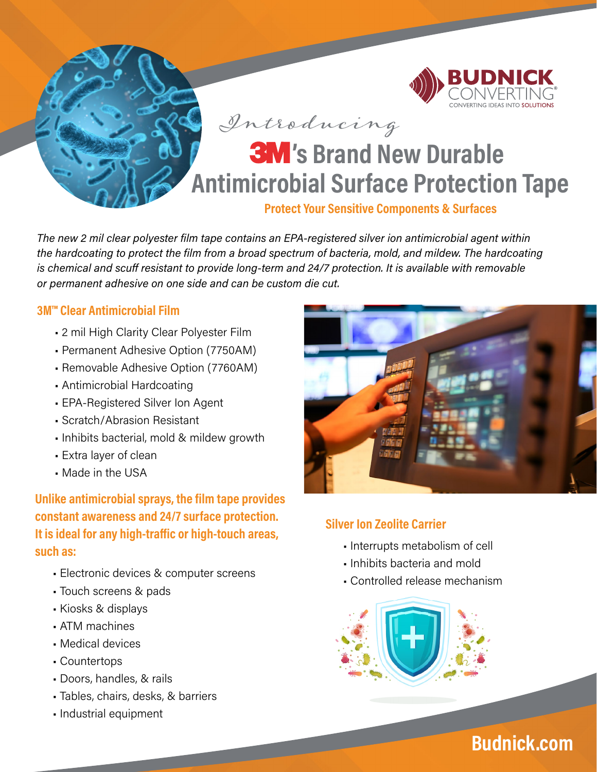

## **Protect Your Sensitive Components & Surfaces**

*The new 2 mil clear polyester film tape contains an EPA-registered silver ion antimicrobial agent within the hardcoating to protect the film from a broad spectrum of bacteria, mold, and mildew. The hardcoating is chemical and scuff resistant to provide long-term and 24/7 protection. It is available with removable or permanent adhesive on one side and can be custom die cut.* 

## **[3M™ Clear Antimicrobial Film](https://www.budnick.com/industries/medical-and-ppe/3M-Antimicrobial-Surface-Protection-Film)**

- 2 mil High Clarity Clear Polyester Film
- [Permanent Adhesive Option \(7750AM\)](https://www.budnick.com/Datasheets/3M/7750AM)
- [Removable Adhesive Option \(7760AM\)](https://www.budnick.com/Datasheets/3M/7760AM)
- Antimicrobial Hardcoating
- EPA-Registered Silver Ion Agent
- Scratch/Abrasion Resistant
- Inhibits bacterial, mold & mildew growth
- Extra layer of clean
- Made in the USA

**Unlike antimicrobial sprays, the film tape provides constant awareness and 24/7 surface protection. It is ideal for any high-traffic or high-touch areas, such as:**

- Electronic devices & computer screens
- Touch screens & pads
- Kiosks & displays
- ATM machines
- Medical devices
- Countertops
- Doors, handles, & rails
- Tables, chairs, desks, & barriers
- Industrial equipment



## **Silver Ion Zeolite Carrier**

- Interrupts metabolism of cell
- Inhibits bacteria and mold
- Controlled release mechanism



# **[Budnick.com](https://www.budnick.com/)**